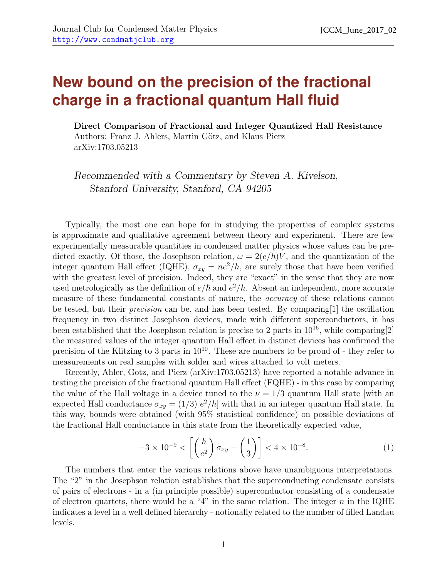## **New bound on the precision of the fractional charge in a fractional quantum Hall fluid**

Direct Comparison of Fractional and Integer Quantized Hall Resistance Authors: Franz J. Ahlers, Martin Götz, and Klaus Pierz arXiv:1703.05213

Recommended with a Commentary by Steven A. Kivelson, Stanford University, Stanford, CA 94205

Typically, the most one can hope for in studying the properties of complex systems is approximate and qualitative agreement between theory and experiment. There are few experimentally measurable quantities in condensed matter physics whose values can be predicted exactly. Of those, the Josephson relation,  $\omega = 2(e/\hbar)V$ , and the quantization of the integer quantum Hall effect (IQHE),  $\sigma_{xy} = ne^2/h$ , are surely those that have been verified with the greatest level of precision. Indeed, they are "exact" in the sense that they are now used metrologically as the definition of  $e/\hbar$  and  $e^2/h$ . Absent an independent, more accurate measure of these fundamental constants of nature, the accuracy of these relations cannot be tested, but their precision can be, and has been tested. By comparing[\[1\]](#page-1-0) the oscillation frequency in two distinct Josephson devices, made with different superconductors, it has been established that the Josephson relation is precise to 2 parts in  $10^{16}$ , while comparing[\[2\]](#page-1-1) the measured values of the integer quantum Hall effect in distinct devices has confirmed the precision of the Klitzing to 3 parts in  $10^{10}$ . These are numbers to be proud of - they refer to measurements on real samples with solder and wires attached to volt meters.

Recently, Ahler, Gotz, and Pierz (arXiv:1703.05213) have reported a notable advance in testing the precision of the fractional quantum Hall effect (FQHE) - in this case by comparing the value of the Hall voltage in a device tuned to the  $\nu = 1/3$  quantum Hall state [with an expected Hall conductance  $\sigma_{xy} = (1/3) e^2/h$  with that in an integer quantum Hall state. In this way, bounds were obtained (with 95% statistical confidence) on possible deviations of the fractional Hall conductance in this state from the theoretically expected value,

$$
-3 \times 10^{-9} < \left[ \left( \frac{h}{e^2} \right) \sigma_{xy} - \left( \frac{1}{3} \right) \right] < 4 \times 10^{-8}. \tag{1}
$$

The numbers that enter the various relations above have unambiguous interpretations. The "2" in the Josephson relation establishes that the superconducting condensate consists of pairs of electrons - in a (in principle possible) superconductor consisting of a condensate of electron quartets, there would be a "4" in the same relation. The integer  $n$  in the IQHE indicates a level in a well defined hierarchy - notionally related to the number of filled Landau levels.